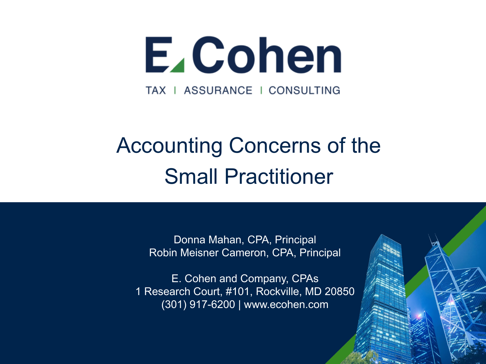

# Accounting Concerns of the Small Practitioner

Donna Mahan, CPA, Principal Robin Meisner Cameron, CPA, Principal

E. Cohen and Company, CPAs 1 Research Court, #101, Rockville, MD 20850 (301) 917-6200 | www.ecohen.com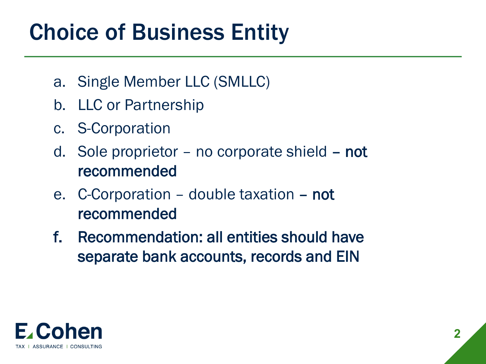#### Choice of Business Entity

- a. Single Member LLC (SMLLC)
- b. LLC or Partnership
- c. S-Corporation
- d. Sole proprietor no corporate shield not recommended
- e. C-Corporation double taxation not recommended
- f. Recommendation: all entities should have separate bank accounts, records and EIN

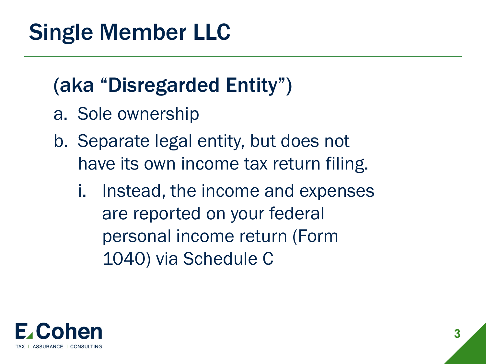# Single Member LLC

#### (aka "Disregarded Entity")

- a. Sole ownership
- b. Separate legal entity, but does not have its own income tax return filing.
	- i. Instead, the income and expenses are reported on your federal personal income return (Form 1040) via Schedule C

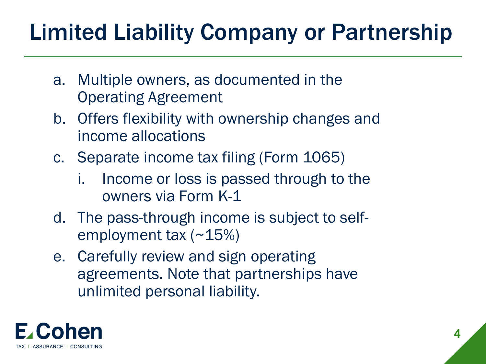# Limited Liability Company or Partnership

- a. Multiple owners, as documented in the Operating Agreement
- b. Offers flexibility with ownership changes and income allocations
- c. Separate income tax filing (Form 1065)
	- i. Income or loss is passed through to the owners via Form K-1
- d. The pass-through income is subject to selfemployment tax (~15%)
- e. Carefully review and sign operating agreements. Note that partnerships have unlimited personal liability.

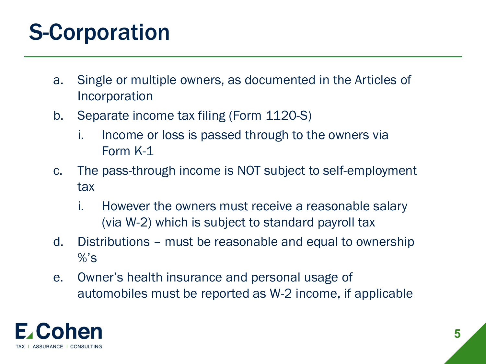# S-Corporation

- a. Single or multiple owners, as documented in the Articles of Incorporation
- b. Separate income tax filing (Form 1120-S)
	- i. Income or loss is passed through to the owners via Form K-1
- c. The pass-through income is NOT subject to self-employment tax
	- i. However the owners must receive a reasonable salary (via W-2) which is subject to standard payroll tax
- d. Distributions must be reasonable and equal to ownership  $\%$ 's
- e. Owner's health insurance and personal usage of automobiles must be reported as W-2 income, if applicable

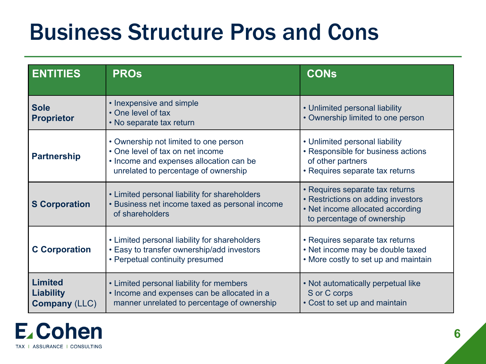#### Business Structure Pros and Cons

| <b>ENTITIES</b>                                            | <b>PROs</b>                                                                                                                                                  | <b>CONS</b>                                                                                                                             |
|------------------------------------------------------------|--------------------------------------------------------------------------------------------------------------------------------------------------------------|-----------------------------------------------------------------------------------------------------------------------------------------|
| <b>Sole</b><br><b>Proprietor</b>                           | • Inexpensive and simple<br>• One level of tax<br>• No separate tax return                                                                                   | • Unlimited personal liability<br>• Ownership limited to one person                                                                     |
| <b>Partnership</b>                                         | • Ownership not limited to one person<br>• One level of tax on net income<br>• Income and expenses allocation can be<br>unrelated to percentage of ownership | • Unlimited personal liability<br>• Responsible for business actions<br>of other partners<br>• Requires separate tax returns            |
| <b>S Corporation</b>                                       | • Limited personal liability for shareholders<br>• Business net income taxed as personal income<br>of shareholders                                           | • Requires separate tax returns<br>• Restrictions on adding investors<br>• Net income allocated according<br>to percentage of ownership |
| <b>C</b> Corporation                                       | • Limited personal liability for shareholders<br>• Easy to transfer ownership/add investors<br>• Perpetual continuity presumed                               | • Requires separate tax returns<br>• Net income may be double taxed<br>• More costly to set up and maintain                             |
| <b>Limited</b><br><b>Liability</b><br><b>Company (LLC)</b> | • Limited personal liability for members<br>• Income and expenses can be allocated in a<br>manner unrelated to percentage of ownership                       | • Not automatically perpetual like<br>S or C corps<br>• Cost to set up and maintain                                                     |

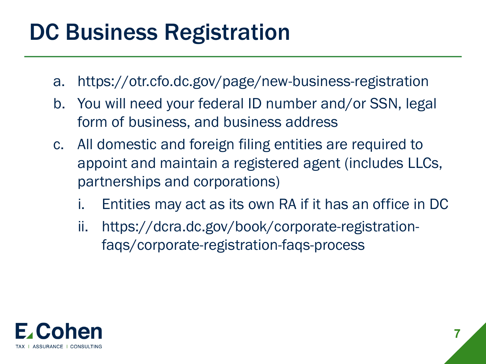# DC Business Registration

- a. https://otr.cfo.dc.gov/page/new-business-registration
- b. You will need your federal ID number and/or SSN, legal form of business, and business address
- c. All domestic and foreign filing entities are required to appoint and maintain a registered agent (includes LLCs, partnerships and corporations)
	- i. Entities may act as its own RA if it has an office in DC
	- ii. https://dcra.dc.gov/book/corporate-registrationfaqs/corporate-registration-faqs-process

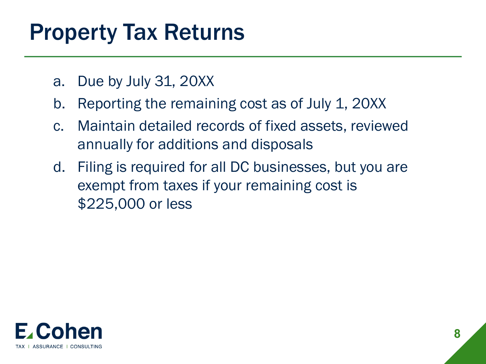#### Property Tax Returns

- a. Due by July 31, 20XX
- b. Reporting the remaining cost as of July 1, 20XX
- c. Maintain detailed records of fixed assets, reviewed annually for additions and disposals
- d. Filing is required for all DC businesses, but you are exempt from taxes if your remaining cost is \$225,000 or less

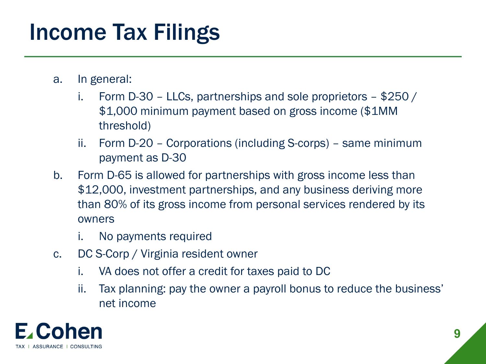## Income Tax Filings

- a. In general:
	- i. Form D-30 LLCs, partnerships and sole proprietors \$250 / \$1,000 minimum payment based on gross income (\$1MM threshold)
	- ii. Form D-20 Corporations (including S-corps) same minimum payment as D-30
- b. Form D-65 is allowed for partnerships with gross income less than \$12,000, investment partnerships, and any business deriving more than 80% of its gross income from personal services rendered by its owners
	- i. No payments required
- c. DC S-Corp / Virginia resident owner
	- i. VA does not offer a credit for taxes paid to DC
	- ii. Tax planning: pay the owner a payroll bonus to reduce the business' net income

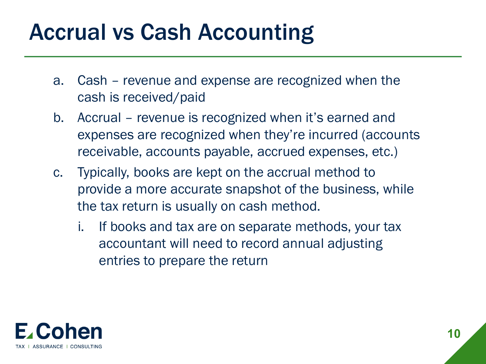#### Accrual vs Cash Accounting

- a. Cash revenue and expense are recognized when the cash is received/paid
- b. Accrual revenue is recognized when it's earned and expenses are recognized when they're incurred (accounts receivable, accounts payable, accrued expenses, etc.)
- c. Typically, books are kept on the accrual method to provide a more accurate snapshot of the business, while the tax return is usually on cash method.
	- i. If books and tax are on separate methods, your tax accountant will need to record annual adjusting entries to prepare the return

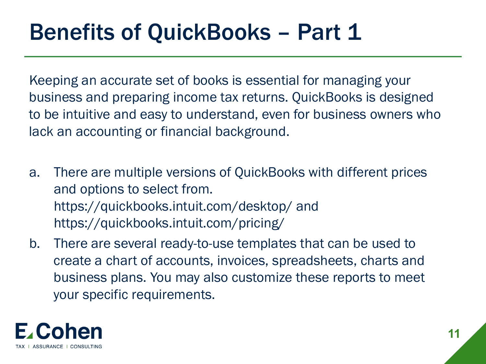#### **Benefits of QuickBooks - Part 1**

Keeping an accurate set of books is essential for managing your business and preparing income tax returns. QuickBooks is designed to be intuitive and easy to understand, even for business owners who lack an accounting or financial background.

- a. There are multiple versions of QuickBooks with different prices and options to select from. https://quickbooks.intuit.com/desktop/ and https://quickbooks.intuit.com/pricing/
- b. There are several ready-to-use templates that can be used to create a chart of accounts, invoices, spreadsheets, charts and business plans. You may also customize these reports to meet your specific requirements.

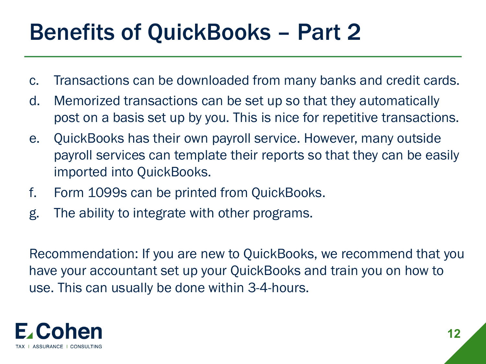# Benefits of QuickBooks – Part 2

- c. Transactions can be downloaded from many banks and credit cards.
- d. Memorized transactions can be set up so that they automatically post on a basis set up by you. This is nice for repetitive transactions.
- e. QuickBooks has their own payroll service. However, many outside payroll services can template their reports so that they can be easily imported into QuickBooks.
- f. Form 1099s can be printed from QuickBooks.
- g. The ability to integrate with other programs.

Recommendation: If you are new to QuickBooks, we recommend that you have your accountant set up your QuickBooks and train you on how to use. This can usually be done within 3-4-hours.

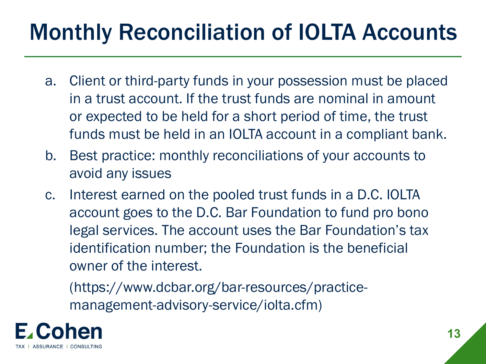# Monthly Reconciliation of IOLTA Accounts

- a. Client or third-party funds in your possession must be placed in a trust account. If the trust funds are nominal in amount or expected to be held for a short period of time, the trust funds must be held in an IOLTA account in a compliant bank.
- b. Best practice: monthly reconciliations of your accounts to avoid any issues
- c. Interest earned on the pooled trust funds in a D.C. IOLTA account goes to the D.C. Bar Foundation to fund pro bono legal services. The account uses the Bar Foundation's tax identification number; the Foundation is the beneficial owner of the interest.

(https://www.dcbar.org/bar-resources/practicemanagement-advisory-service/iolta.cfm)

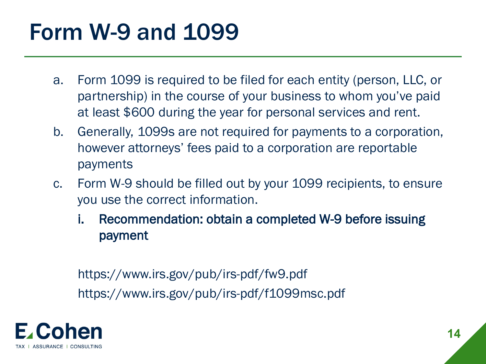## Form W-9 and 1099

- a. Form 1099 is required to be filed for each entity (person, LLC, or partnership) in the course of your business to whom you've paid at least \$600 during the year for personal services and rent.
- b. Generally, 1099s are not required for payments to a corporation, however attorneys' fees paid to a corporation are reportable payments
- c. Form W-9 should be filled out by your 1099 recipients, to ensure you use the correct information.
	- i. Recommendation: obtain a completed W-9 before issuing payment

https://www.irs.gov/pub/irs-pdf/fw9.pdf https://www.irs.gov/pub/irs-pdf/f1099msc.pdf

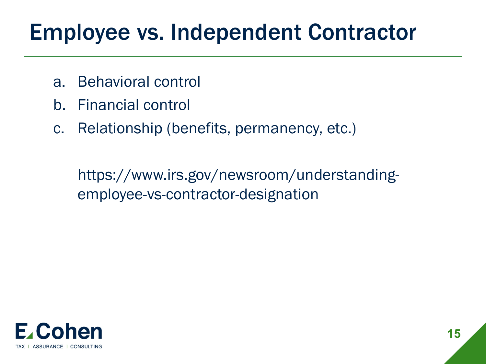# Employee vs. Independent Contractor

- a. Behavioral control
- b. Financial control
- c. Relationship (benefits, permanency, etc.)

https://www.irs.gov/newsroom/understandingemployee-vs-contractor-designation

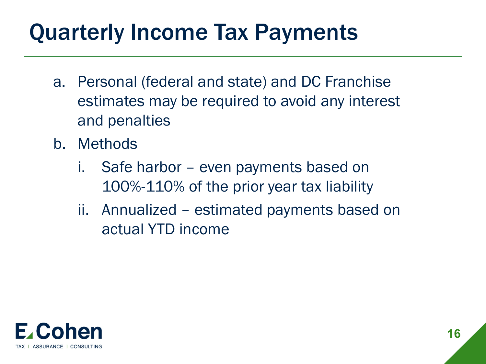# Quarterly Income Tax Payments

- a. Personal (federal and state) and DC Franchise estimates may be required to avoid any interest and penalties
- b. Methods
	- i. Safe harbor even payments based on 100%-110% of the prior year tax liability
	- ii. Annualized estimated payments based on actual YTD income

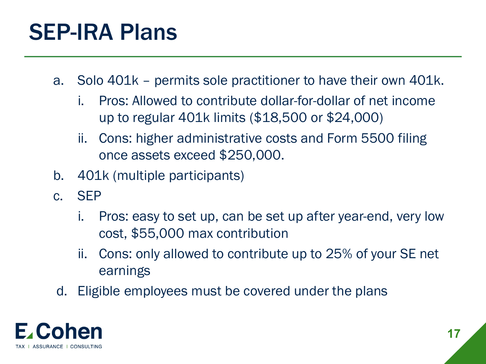### SEP-IRA Plans

- a. Solo 401k permits sole practitioner to have their own 401k.
	- i. Pros: Allowed to contribute dollar-for-dollar of net income up to regular 401k limits (\$18,500 or \$24,000)
	- ii. Cons: higher administrative costs and Form 5500 filing once assets exceed \$250,000.
- b. 401k (multiple participants)
- c. SEP
	- i. Pros: easy to set up, can be set up after year-end, very low cost, \$55,000 max contribution
	- ii. Cons: only allowed to contribute up to 25% of your SE net earnings
- d. Eligible employees must be covered under the plans

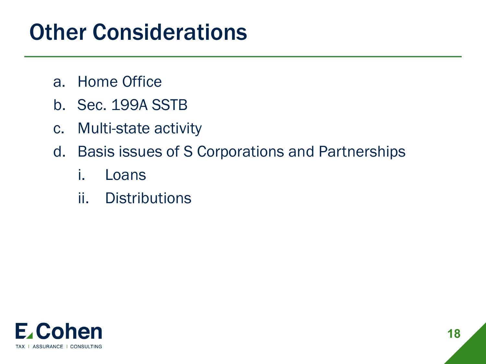#### Other Considerations

- a. Home Office
- b. Sec. 199A SSTB
- c. Multi-state activity
- d. Basis issues of S Corporations and Partnerships
	- i. Loans
	- ii. Distributions